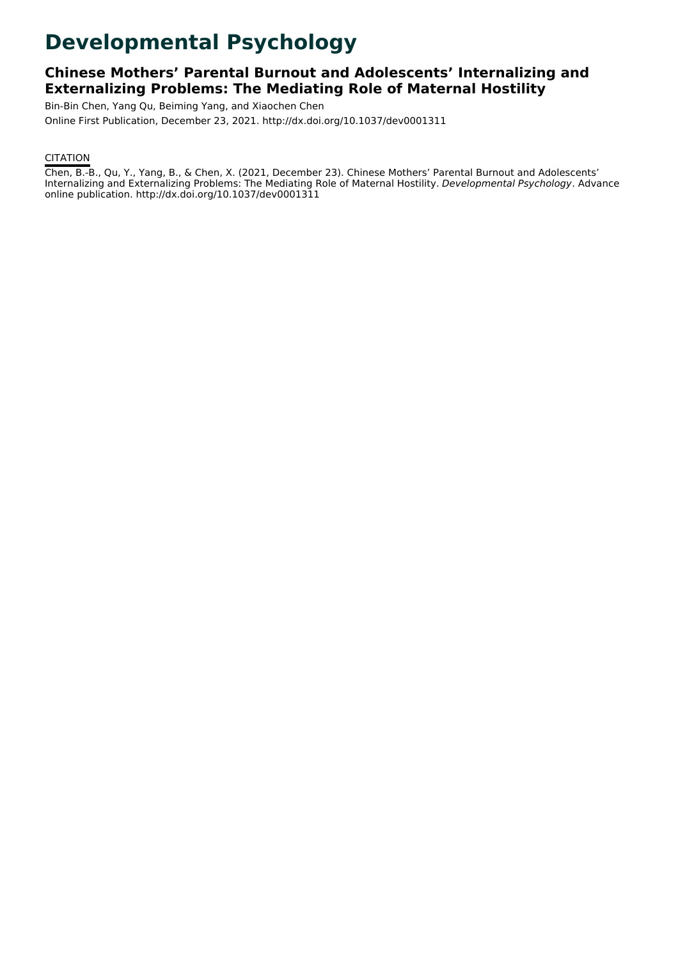# **Developmental Psychology**

# **Chinese Mothers' Parental Burnout and Adolescents' Internalizing and Externalizing Problems: The Mediating Role of Maternal Hostility**

Bin-Bin Chen, Yang Qu, Beiming Yang, and Xiaochen Chen Online First Publication, December 23, 2021. http://dx.doi.org/10.1037/dev0001311

# **CITATION**

Chen, B.-B., Qu, Y., Yang, B., & Chen, X. (2021, December 23). Chinese Mothers' Parental Burnout and Adolescents' Internalizing and Externalizing Problems: The Mediating Role of Maternal Hostility. Developmental Psychology. Advance online publication. http://dx.doi.org/10.1037/dev0001311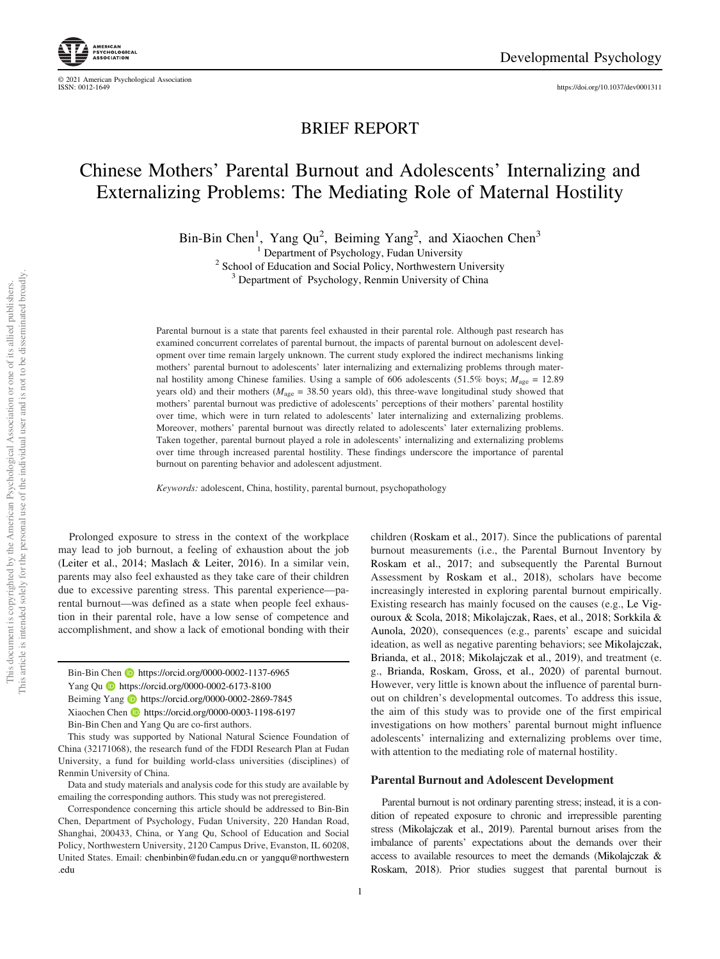© 2021 American Psychological Association

<https://doi.org/10.1037/dev0001311>

# BRIEF REPORT

# Chinese Mothers' Parental Burnout and Adolescents' Internalizing and Externalizing Problems: The Mediating Role of Maternal Hostility

Bin-Bin Chen<sup>1</sup>, Yang Qu<sup>2</sup>, Beiming Yang<sup>2</sup>, and Xiaochen Chen<sup>3</sup>

<sup>1</sup> Department of Psychology, Fudan University <sup>2</sup> School of Education and Social Policy, Northwestern University  $\frac{3}{3}$  Department of Psychology, Renmin University of China

Parental burnout is a state that parents feel exhausted in their parental role. Although past research has examined concurrent correlates of parental burnout, the impacts of parental burnout on adolescent development over time remain largely unknown. The current study explored the indirect mechanisms linking mothers' parental burnout to adolescents' later internalizing and externalizing problems through maternal hostility among Chinese families. Using a sample of 606 adolescents (51.5% boys;  $M_{\text{age}} = 12.89$ ) years old) and their mothers ( $M_{\text{age}} = 38.50$  years old), this three-wave longitudinal study showed that mothers' parental burnout was predictive of adolescents' perceptions of their mothers' parental hostility over time, which were in turn related to adolescents' later internalizing and externalizing problems. Moreover, mothers' parental burnout was directly related to adolescents' later externalizing problems. Taken together, parental burnout played a role in adolescents' internalizing and externalizing problems over time through increased parental hostility. These findings underscore the importance of parental burnout on parenting behavior and adolescent adjustment.

Keywords: adolescent, China, hostility, parental burnout, psychopathology

Prolonged exposure to stress in the context of the workplace may lead to job burnout, a feeling of exhaustion about the job (Leiter et al., 2014; Maslach & Leiter, 2016). In a similar vein, parents may also feel exhausted as they take care of their children due to excessive parenting stress. This parental experience—parental burnout—was defined as a state when people feel exhaustion in their parental role, have a low sense of competence and accomplishment, and show a lack of emotional bonding with their

Bin-Bin Chen **b** <https://orcid.org/0000-0002-1137-6965> Yang Qu **b** <https://orcid.org/0000-0002-6173-8100> Beiming Yang **b** <https://orcid.org/0000-0002-2869-7845> Xiaochen Chen <https://orcid.org/0000-0003-1198-6197> Bin-Bin Chen and Yang Qu are co-first authors.

This study was supported by National Natural Science Foundation of China (32171068), the research fund of the FDDI Research Plan at Fudan University, a fund for building world-class universities (disciplines) of Renmin University of China.

Data and study materials and analysis code for this study are available by emailing the corresponding authors. This study was not preregistered.

Correspondence concerning this article should be addressed to Bin-Bin Chen, Department of Psychology, Fudan University, 220 Handan Road, Shanghai, 200433, China, or Yang Qu, School of Education and Social Policy, Northwestern University, 2120 Campus Drive, Evanston, IL 60208, United States. Email: [chenbinbin@fudan.edu.cn](mailto:chenbinbin@fudan.edu.cn) or [yangqu@northwestern](http://yangqu@northwestern.edu) [.edu](http://yangqu@northwestern.edu)

children (Roskam et al., 2017). Since the publications of parental burnout measurements (i.e., the Parental Burnout Inventory by Roskam et al., 2017; and subsequently the Parental Burnout Assessment by Roskam et al., 2018), scholars have become increasingly interested in exploring parental burnout empirically. Existing research has mainly focused on the causes (e.g., Le Vigouroux & Scola, 2018; Mikolajczak, Raes, et al., 2018; Sorkkila & Aunola, 2020), consequences (e.g., parents' escape and suicidal ideation, as well as negative parenting behaviors; see Mikolajczak, Brianda, et al., 2018; Mikolajczak et al., 2019), and treatment (e. g., Brianda, Roskam, Gross, et al., 2020) of parental burnout. However, very little is known about the influence of parental burnout on children's developmental outcomes. To address this issue, the aim of this study was to provide one of the first empirical investigations on how mothers' parental burnout might influence adolescents' internalizing and externalizing problems over time, with attention to the mediating role of maternal hostility.

# Parental Burnout and Adolescent Development

Parental burnout is not ordinary parenting stress; instead, it is a condition of repeated exposure to chronic and irrepressible parenting stress (Mikolajczak et al., 2019). Parental burnout arises from the imbalance of parents' expectations about the demands over their access to available resources to meet the demands (Mikolajczak & Roskam, 2018). Prior studies suggest that parental burnout is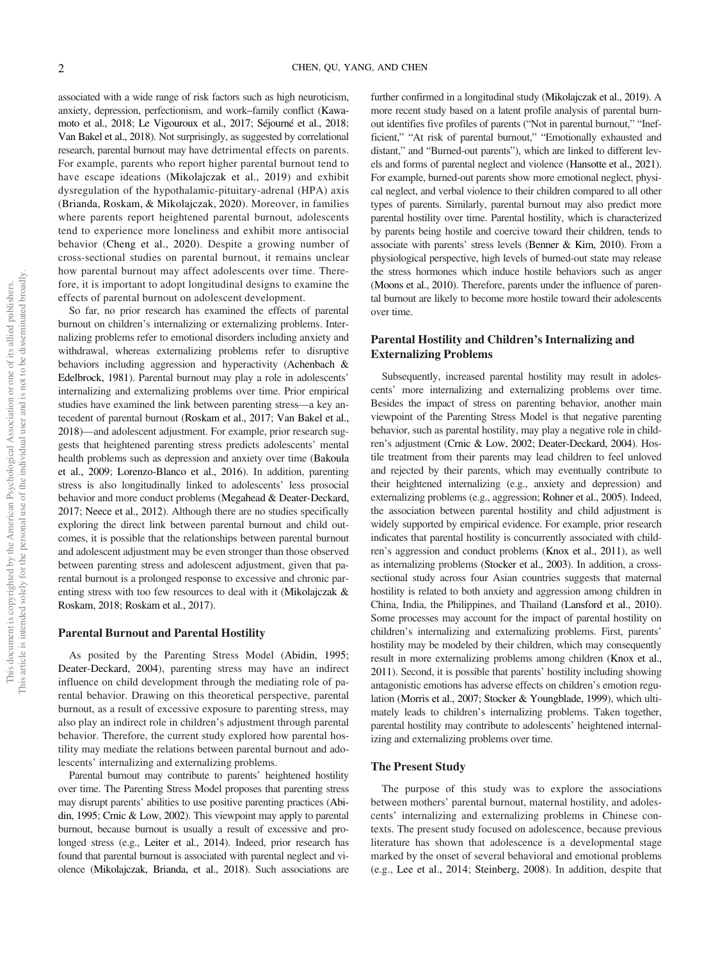associated with a wide range of risk factors such as high neuroticism, anxiety, depression, perfectionism, and work–family conflict (Kawamoto et al., 2018; Le Vigouroux et al., 2017; Séjourné et al., 2018; Van Bakel et al., 2018). Not surprisingly, as suggested by correlational research, parental burnout may have detrimental effects on parents. For example, parents who report higher parental burnout tend to have escape ideations (Mikolajczak et al., 2019) and exhibit dysregulation of the hypothalamic-pituitary-adrenal (HPA) axis (Brianda, Roskam, & Mikolajczak, 2020). Moreover, in families where parents report heightened parental burnout, adolescents tend to experience more loneliness and exhibit more antisocial behavior (Cheng et al., 2020). Despite a growing number of cross-sectional studies on parental burnout, it remains unclear how parental burnout may affect adolescents over time. Therefore, it is important to adopt longitudinal designs to examine the effects of parental burnout on adolescent development.

So far, no prior research has examined the effects of parental burnout on children's internalizing or externalizing problems. Internalizing problems refer to emotional disorders including anxiety and withdrawal, whereas externalizing problems refer to disruptive behaviors including aggression and hyperactivity (Achenbach & Edelbrock, 1981). Parental burnout may play a role in adolescents' internalizing and externalizing problems over time. Prior empirical studies have examined the link between parenting stress—a key antecedent of parental burnout (Roskam et al., 2017; Van Bakel et al., 2018)—and adolescent adjustment. For example, prior research suggests that heightened parenting stress predicts adolescents' mental health problems such as depression and anxiety over time (Bakoula et al., 2009; Lorenzo-Blanco et al., 2016). In addition, parenting stress is also longitudinally linked to adolescents' less prosocial behavior and more conduct problems (Megahead & Deater-Deckard, 2017; Neece et al., 2012). Although there are no studies specifically exploring the direct link between parental burnout and child outcomes, it is possible that the relationships between parental burnout and adolescent adjustment may be even stronger than those observed between parenting stress and adolescent adjustment, given that parental burnout is a prolonged response to excessive and chronic parenting stress with too few resources to deal with it (Mikolajczak & Roskam, 2018; Roskam et al., 2017).

# Parental Burnout and Parental Hostility

As posited by the Parenting Stress Model (Abidin, 1995; Deater-Deckard, 2004), parenting stress may have an indirect influence on child development through the mediating role of parental behavior. Drawing on this theoretical perspective, parental burnout, as a result of excessive exposure to parenting stress, may also play an indirect role in children's adjustment through parental behavior. Therefore, the current study explored how parental hostility may mediate the relations between parental burnout and adolescents' internalizing and externalizing problems.

Parental burnout may contribute to parents' heightened hostility over time. The Parenting Stress Model proposes that parenting stress may disrupt parents' abilities to use positive parenting practices (Abidin, 1995; Crnic & Low, 2002). This viewpoint may apply to parental burnout, because burnout is usually a result of excessive and prolonged stress (e.g., Leiter et al., 2014). Indeed, prior research has found that parental burnout is associated with parental neglect and violence (Mikolajczak, Brianda, et al., 2018). Such associations are

further confirmed in a longitudinal study (Mikolajczak et al., 2019). A more recent study based on a latent profile analysis of parental burnout identifies five profiles of parents ("Not in parental burnout," "Inefficient," "At risk of parental burnout," "Emotionally exhausted and distant," and "Burned-out parents"), which are linked to different levels and forms of parental neglect and violence (Hansotte et al., 2021). For example, burned-out parents show more emotional neglect, physical neglect, and verbal violence to their children compared to all other types of parents. Similarly, parental burnout may also predict more parental hostility over time. Parental hostility, which is characterized by parents being hostile and coercive toward their children, tends to associate with parents' stress levels (Benner & Kim, 2010). From a physiological perspective, high levels of burned-out state may release the stress hormones which induce hostile behaviors such as anger (Moons et al., 2010). Therefore, parents under the influence of parental burnout are likely to become more hostile toward their adolescents over time.

# Parental Hostility and Children's Internalizing and Externalizing Problems

Subsequently, increased parental hostility may result in adolescents' more internalizing and externalizing problems over time. Besides the impact of stress on parenting behavior, another main viewpoint of the Parenting Stress Model is that negative parenting behavior, such as parental hostility, may play a negative role in children's adjustment (Crnic & Low, 2002; Deater-Deckard, 2004). Hostile treatment from their parents may lead children to feel unloved and rejected by their parents, which may eventually contribute to their heightened internalizing (e.g., anxiety and depression) and externalizing problems (e.g., aggression; Rohner et al., 2005). Indeed, the association between parental hostility and child adjustment is widely supported by empirical evidence. For example, prior research indicates that parental hostility is concurrently associated with children's aggression and conduct problems (Knox et al., 2011), as well as internalizing problems (Stocker et al., 2003). In addition, a crosssectional study across four Asian countries suggests that maternal hostility is related to both anxiety and aggression among children in China, India, the Philippines, and Thailand (Lansford et al., 2010). Some processes may account for the impact of parental hostility on children's internalizing and externalizing problems. First, parents' hostility may be modeled by their children, which may consequently result in more externalizing problems among children (Knox et al., 2011). Second, it is possible that parents' hostility including showing antagonistic emotions has adverse effects on children's emotion regulation (Morris et al., 2007; Stocker & Youngblade, 1999), which ultimately leads to children's internalizing problems. Taken together, parental hostility may contribute to adolescents' heightened internalizing and externalizing problems over time.

# The Present Study

The purpose of this study was to explore the associations between mothers' parental burnout, maternal hostility, and adolescents' internalizing and externalizing problems in Chinese contexts. The present study focused on adolescence, because previous literature has shown that adolescence is a developmental stage marked by the onset of several behavioral and emotional problems (e.g., Lee et al., 2014; Steinberg, 2008). In addition, despite that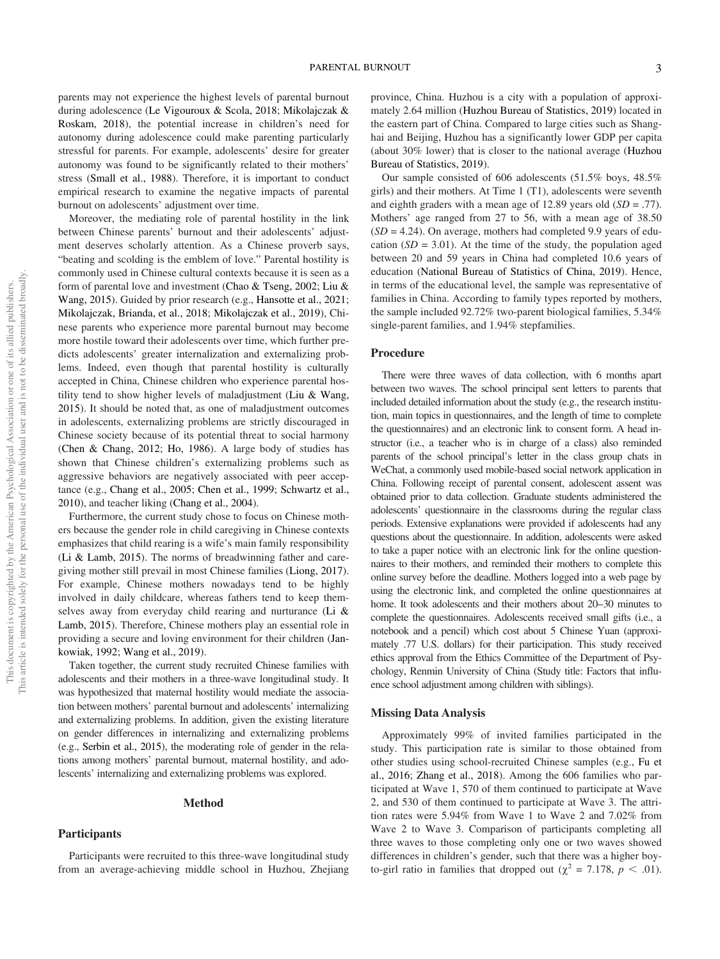parents may not experience the highest levels of parental burnout during adolescence (Le Vigouroux & Scola, 2018; Mikolajczak & Roskam, 2018), the potential increase in children's need for autonomy during adolescence could make parenting particularly stressful for parents. For example, adolescents' desire for greater autonomy was found to be significantly related to their mothers' stress (Small et al., 1988). Therefore, it is important to conduct empirical research to examine the negative impacts of parental burnout on adolescents' adjustment over time.

Moreover, the mediating role of parental hostility in the link between Chinese parents' burnout and their adolescents' adjustment deserves scholarly attention. As a Chinese proverb says, "beating and scolding is the emblem of love." Parental hostility is commonly used in Chinese cultural contexts because it is seen as a form of parental love and investment (Chao & Tseng, 2002; Liu & Wang, 2015). Guided by prior research (e.g., Hansotte et al., 2021; Mikolajczak, Brianda, et al., 2018; Mikolajczak et al., 2019), Chinese parents who experience more parental burnout may become more hostile toward their adolescents over time, which further predicts adolescents' greater internalization and externalizing problems. Indeed, even though that parental hostility is culturally accepted in China, Chinese children who experience parental hostility tend to show higher levels of maladjustment (Liu  $&$  Wang, 2015). It should be noted that, as one of maladjustment outcomes in adolescents, externalizing problems are strictly discouraged in Chinese society because of its potential threat to social harmony (Chen & Chang, 2012; Ho, 1986). A large body of studies has shown that Chinese children's externalizing problems such as aggressive behaviors are negatively associated with peer acceptance (e.g., Chang et al., 2005; Chen et al., 1999; Schwartz et al., 2010), and teacher liking (Chang et al., 2004).

Furthermore, the current study chose to focus on Chinese mothers because the gender role in child caregiving in Chinese contexts emphasizes that child rearing is a wife's main family responsibility (Li & Lamb, 2015). The norms of breadwinning father and caregiving mother still prevail in most Chinese families (Liong, 2017). For example, Chinese mothers nowadays tend to be highly involved in daily childcare, whereas fathers tend to keep themselves away from everyday child rearing and nurturance (Li & Lamb, 2015). Therefore, Chinese mothers play an essential role in providing a secure and loving environment for their children (Jankowiak, 1992; Wang et al., 2019).

Taken together, the current study recruited Chinese families with adolescents and their mothers in a three-wave longitudinal study. It was hypothesized that maternal hostility would mediate the association between mothers' parental burnout and adolescents' internalizing and externalizing problems. In addition, given the existing literature on gender differences in internalizing and externalizing problems (e.g., Serbin et al., 2015), the moderating role of gender in the relations among mothers' parental burnout, maternal hostility, and adolescents' internalizing and externalizing problems was explored.

#### Method

## **Participants**

Participants were recruited to this three-wave longitudinal study from an average-achieving middle school in Huzhou, Zhejiang province, China. Huzhou is a city with a population of approximately 2.64 million (Huzhou Bureau of Statistics, 2019) located in the eastern part of China. Compared to large cities such as Shanghai and Beijing, Huzhou has a significantly lower GDP per capita (about 30% lower) that is closer to the national average (Huzhou Bureau of Statistics, 2019).

Our sample consisted of 606 adolescents (51.5% boys, 48.5% girls) and their mothers. At Time 1 (T1), adolescents were seventh and eighth graders with a mean age of 12.89 years old  $(SD = .77)$ . Mothers' age ranged from 27 to 56, with a mean age of 38.50  $(SD = 4.24)$ . On average, mothers had completed 9.9 years of education  $(SD = 3.01)$ . At the time of the study, the population aged between 20 and 59 years in China had completed 10.6 years of education (National Bureau of Statistics of China, 2019). Hence, in terms of the educational level, the sample was representative of families in China. According to family types reported by mothers, the sample included 92.72% two-parent biological families, 5.34% single-parent families, and 1.94% stepfamilies.

# Procedure

There were three waves of data collection, with 6 months apart between two waves. The school principal sent letters to parents that included detailed information about the study (e.g., the research institution, main topics in questionnaires, and the length of time to complete the questionnaires) and an electronic link to consent form. A head instructor (i.e., a teacher who is in charge of a class) also reminded parents of the school principal's letter in the class group chats in WeChat, a commonly used mobile-based social network application in China. Following receipt of parental consent, adolescent assent was obtained prior to data collection. Graduate students administered the adolescents' questionnaire in the classrooms during the regular class periods. Extensive explanations were provided if adolescents had any questions about the questionnaire. In addition, adolescents were asked to take a paper notice with an electronic link for the online questionnaires to their mothers, and reminded their mothers to complete this online survey before the deadline. Mothers logged into a web page by using the electronic link, and completed the online questionnaires at home. It took adolescents and their mothers about 20–30 minutes to complete the questionnaires. Adolescents received small gifts (i.e., a notebook and a pencil) which cost about 5 Chinese Yuan (approximately .77 U.S. dollars) for their participation. This study received ethics approval from the Ethics Committee of the Department of Psychology, Renmin University of China (Study title: Factors that influence school adjustment among children with siblings).

#### Missing Data Analysis

Approximately 99% of invited families participated in the study. This participation rate is similar to those obtained from other studies using school-recruited Chinese samples (e.g., Fu et al., 2016; Zhang et al., 2018). Among the 606 families who participated at Wave 1, 570 of them continued to participate at Wave 2, and 530 of them continued to participate at Wave 3. The attrition rates were 5.94% from Wave 1 to Wave 2 and 7.02% from Wave 2 to Wave 3. Comparison of participants completing all three waves to those completing only one or two waves showed differences in children's gender, such that there was a higher boyto-girl ratio in families that dropped out ( $\chi^2 = 7.178$ ,  $p < .01$ ).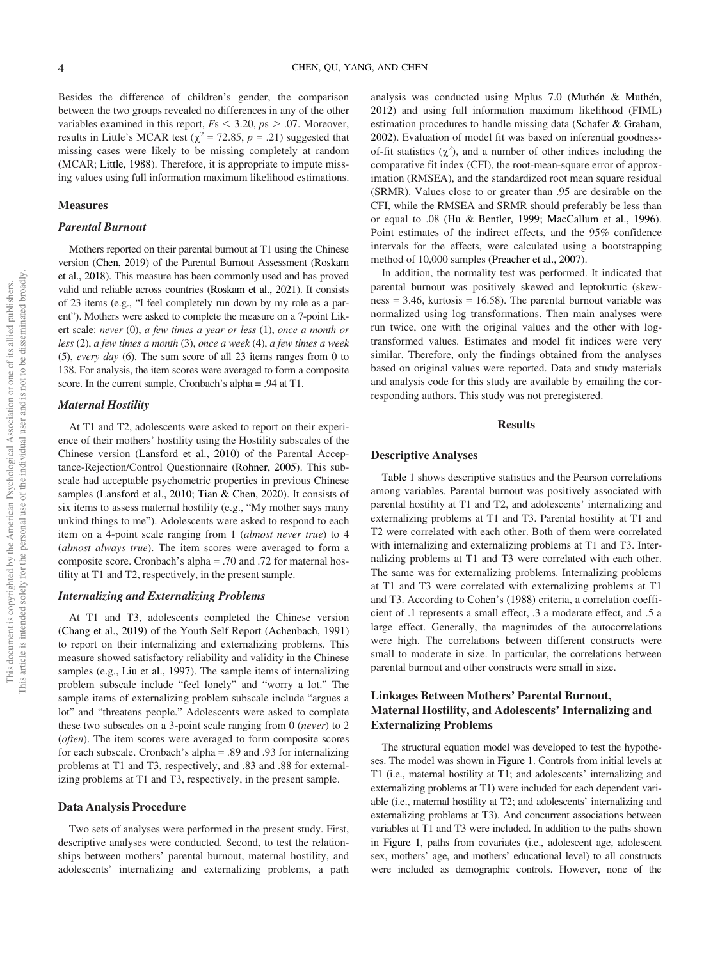Besides the difference of children's gender, the comparison between the two groups revealed no differences in any of the other variables examined in this report,  $Fs < 3.20, ps > .07$ . Moreover, results in Little's MCAR test ( $\chi^2$  = 72.85, p = .21) suggested that missing cases were likely to be missing completely at random (MCAR; Little, 1988). Therefore, it is appropriate to impute missing values using full information maximum likelihood estimations.

#### Measures

# Parental Burnout

Mothers reported on their parental burnout at T1 using the Chinese version (Chen, 2019) of the Parental Burnout Assessment (Roskam et al., 2018). This measure has been commonly used and has proved valid and reliable across countries (Roskam et al., 2021). It consists of 23 items (e.g., "I feel completely run down by my role as a parent"). Mothers were asked to complete the measure on a 7-point Likert scale: never (0), a few times a year or less (1), once a month or less (2), a few times a month (3), once a week (4), a few times a week (5), every day (6). The sum score of all 23 items ranges from 0 to 138. For analysis, the item scores were averaged to form a composite score. In the current sample, Cronbach's alpha = .94 at T1.

# Maternal Hostility

At T1 and T2, adolescents were asked to report on their experience of their mothers' hostility using the Hostility subscales of the Chinese version (Lansford et al., 2010) of the Parental Acceptance-Rejection/Control Questionnaire (Rohner, 2005). This subscale had acceptable psychometric properties in previous Chinese samples (Lansford et al., 2010; Tian & Chen, 2020). It consists of six items to assess maternal hostility (e.g., "My mother says many unkind things to me"). Adolescents were asked to respond to each item on a 4-point scale ranging from 1 (almost never true) to 4 (almost always true). The item scores were averaged to form a composite score. Cronbach's alpha = .70 and .72 for maternal hostility at T1 and T2, respectively, in the present sample.

# Internalizing and Externalizing Problems

At T1 and T3, adolescents completed the Chinese version (Chang et al., 2019) of the Youth Self Report (Achenbach, 1991) to report on their internalizing and externalizing problems. This measure showed satisfactory reliability and validity in the Chinese samples (e.g., Liu et al., 1997). The sample items of internalizing problem subscale include "feel lonely" and "worry a lot." The sample items of externalizing problem subscale include "argues a lot" and "threatens people." Adolescents were asked to complete these two subscales on a 3-point scale ranging from 0 (never) to 2 (often). The item scores were averaged to form composite scores for each subscale. Cronbach's alpha = .89 and .93 for internalizing problems at T1 and T3, respectively, and .83 and .88 for externalizing problems at T1 and T3, respectively, in the present sample.

#### Data Analysis Procedure

Two sets of analyses were performed in the present study. First, descriptive analyses were conducted. Second, to test the relationships between mothers' parental burnout, maternal hostility, and adolescents' internalizing and externalizing problems, a path

analysis was conducted using Mplus 7.0 (Muthén & Muthén, 2012) and using full information maximum likelihood (FIML) estimation procedures to handle missing data (Schafer & Graham, 2002). Evaluation of model fit was based on inferential goodnessof-fit statistics  $(\chi^2)$ , and a number of other indices including the comparative fit index (CFI), the root-mean-square error of approximation (RMSEA), and the standardized root mean square residual (SRMR). Values close to or greater than .95 are desirable on the CFI, while the RMSEA and SRMR should preferably be less than or equal to .08 (Hu & Bentler, 1999; MacCallum et al., 1996). Point estimates of the indirect effects, and the 95% confidence intervals for the effects, were calculated using a bootstrapping method of 10,000 samples (Preacher et al., 2007).

In addition, the normality test was performed. It indicated that parental burnout was positively skewed and leptokurtic (skew $ness = 3.46$ , kurtosis = 16.58). The parental burnout variable was normalized using log transformations. Then main analyses were run twice, one with the original values and the other with logtransformed values. Estimates and model fit indices were very similar. Therefore, only the findings obtained from the analyses based on original values were reported. Data and study materials and analysis code for this study are available by emailing the corresponding authors. This study was not preregistered.

# Results

#### Descriptive Analyses

[Table 1](#page-5-0) shows descriptive statistics and the Pearson correlations among variables. Parental burnout was positively associated with parental hostility at T1 and T2, and adolescents' internalizing and externalizing problems at T1 and T3. Parental hostility at T1 and T2 were correlated with each other. Both of them were correlated with internalizing and externalizing problems at T1 and T3. Internalizing problems at T1 and T3 were correlated with each other. The same was for externalizing problems. Internalizing problems at T1 and T3 were correlated with externalizing problems at T1 and T3. According to Cohen's (1988) criteria, a correlation coefficient of .1 represents a small effect, .3 a moderate effect, and .5 a large effect. Generally, the magnitudes of the autocorrelations were high. The correlations between different constructs were small to moderate in size. In particular, the correlations between parental burnout and other constructs were small in size.

# Linkages Between Mothers' Parental Burnout, Maternal Hostility, and Adolescents' Internalizing and Externalizing Problems

The structural equation model was developed to test the hypotheses. The model was shown in Figure 1. Controls from initial levels at T1 (i.e., maternal hostility at T1; and adolescents' internalizing and externalizing problems at T1) were included for each dependent variable (i.e., maternal hostility at T2; and adolescents' internalizing and externalizing problems at T3). And concurrent associations between variables at T1 and T3 were included. In addition to the paths shown in Figure 1, paths from covariates (i.e., adolescent age, adolescent sex, mothers' age, and mothers' educational level) to all constructs were included as demographic controls. However, none of the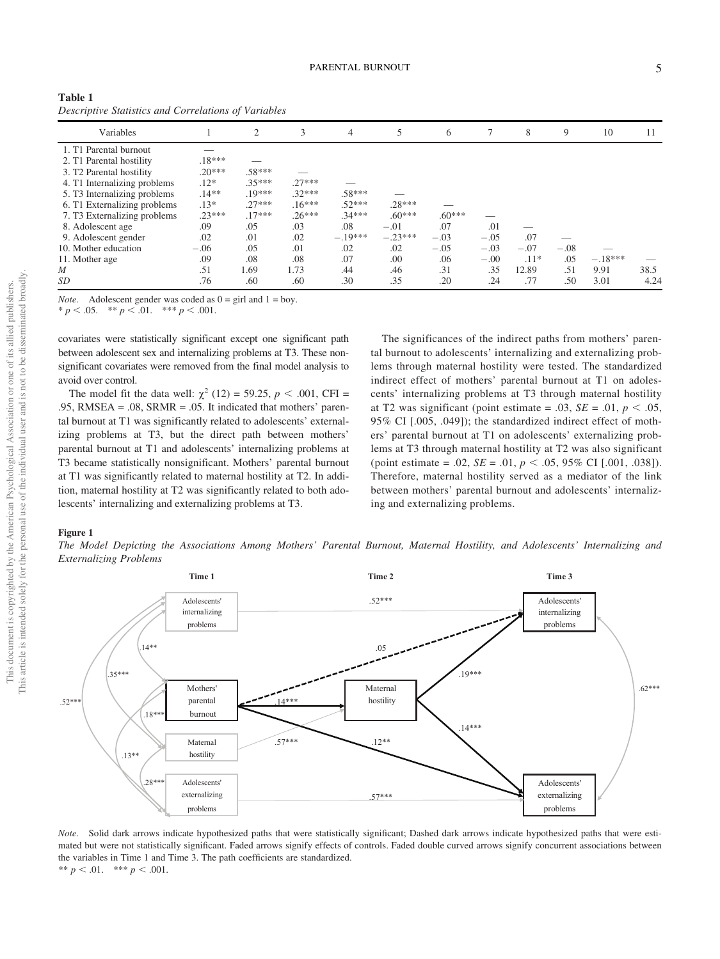| . e | n e s |    |         |   |
|-----|-------|----|---------|---|
|     |       |    |         |   |
| ×   |       | ۰. | ۰.<br>I | I |

| Descriptive Statistics and Corretations of variables |          |                |          |           |           |          |        |        |        |           |      |
|------------------------------------------------------|----------|----------------|----------|-----------|-----------|----------|--------|--------|--------|-----------|------|
| Variables                                            |          | $\overline{2}$ | 3        | 4         | 5         | 6        | ┑      | 8      | 9      | 10        | 11   |
| 1. T1 Parental burnout                               |          |                |          |           |           |          |        |        |        |           |      |
| 2. T1 Parental hostility                             | $.18***$ |                |          |           |           |          |        |        |        |           |      |
| 3. T <sub>2</sub> Parental hostility                 | $.20***$ | .58***         |          |           |           |          |        |        |        |           |      |
| 4. T1 Internalizing problems                         | $.12*$   | $.35***$       | $.27***$ |           |           |          |        |        |        |           |      |
| 5. T3 Internalizing problems                         | $.14**$  | $.19***$       | $.32***$ | $.58***$  |           |          |        |        |        |           |      |
| 6. T1 Externalizing problems                         | $.13*$   | $.27***$       | $.16***$ | $.52***$  | $.28***$  |          |        |        |        |           |      |
| 7. T3 Externalizing problems                         | $.23***$ | $.17***$       | $.26***$ | $.34***$  | $.60***$  | $.60***$ |        |        |        |           |      |
| 8. Adolescent age                                    | .09      | .05            | .03      | .08       | $-.01$    | .07      | .01    |        |        |           |      |
| 9. Adolescent gender                                 | .02      | .01            | .02      | $-.19***$ | $-.23***$ | $-.03$   | $-.05$ | .07    |        |           |      |
| 10. Mother education                                 | $-.06$   | .05            | .01      | .02       | .02       | $-.05$   | $-.03$ | $-.07$ | $-.08$ |           |      |
| 11. Mother age                                       | .09      | .08            | .08      | .07       | .00       | .06      | $-.00$ | $.11*$ | .05    | $-.18***$ |      |
| M                                                    | .51      | 1.69           | 1.73     | .44       | .46       | .31      | .35    | 12.89  | .51    | 9.91      | 38.5 |
| SD                                                   | .76      | .60            | .60      | .30       | .35       | .20      | .24    | .77    | .50    | 3.01      | 4.24 |

<span id="page-5-0"></span>

| Table 1                                              |  |
|------------------------------------------------------|--|
| Descriptive Statistics and Correlations of Variables |  |

*Note.* Adolescent gender was coded as  $0 = \text{girl}$  and  $1 = \text{boy}$ .

 $p < .05.$  \*\*  $p < .01.$  \*\*\*  $p < .001.$ 

covariates were statistically significant except one significant path between adolescent sex and internalizing problems at T3. These nonsignificant covariates were removed from the final model analysis to avoid over control.

The model fit the data well:  $\chi^2$  (12) = 59.25, p < .001, CFI = .95, RMSEA = .08, SRMR = .05. It indicated that mothers' parental burnout at T1 was significantly related to adolescents' externalizing problems at T3, but the direct path between mothers' parental burnout at T1 and adolescents' internalizing problems at T3 became statistically nonsignificant. Mothers' parental burnout at T1 was significantly related to maternal hostility at T2. In addition, maternal hostility at T2 was significantly related to both adolescents' internalizing and externalizing problems at T3.

The significances of the indirect paths from mothers' parental burnout to adolescents' internalizing and externalizing problems through maternal hostility were tested. The standardized indirect effect of mothers' parental burnout at T1 on adolescents' internalizing problems at T3 through maternal hostility at T2 was significant (point estimate = .03,  $SE = .01$ ,  $p < .05$ , 95% CI [.005, .049]); the standardized indirect effect of mothers' parental burnout at T1 on adolescents' externalizing problems at T3 through maternal hostility at T2 was also significant (point estimate = .02,  $SE = .01$ ,  $p < .05$ , 95% CI [.001, .038]). Therefore, maternal hostility served as a mediator of the link between mothers' parental burnout and adolescents' internalizing and externalizing problems.

# Figure 1

The Model Depicting the Associations Among Mothers' Parental Burnout, Maternal Hostility, and Adolescents' Internalizing and Externalizing Problems



Note. Solid dark arrows indicate hypothesized paths that were statistically significant; Dashed dark arrows indicate hypothesized paths that were estimated but were not statistically significant. Faded arrows signify effects of controls. Faded double curved arrows signify concurrent associations between the variables in Time 1 and Time 3. The path coefficients are standardized. \*\*  $p < .01.$  \*\*\*  $p < .001.$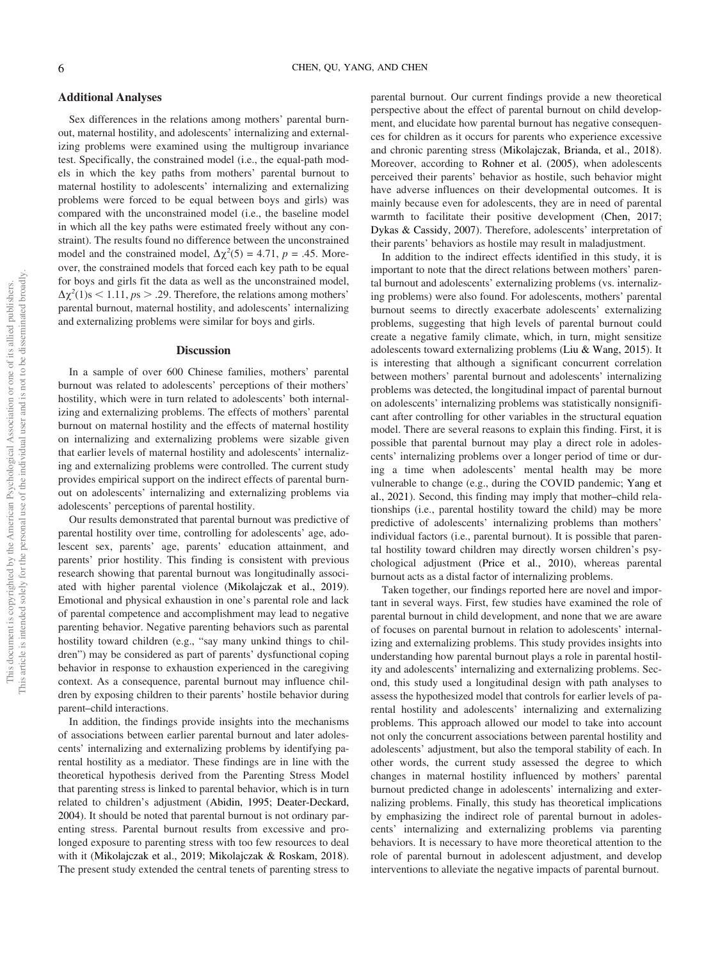# Additional Analyses

Sex differences in the relations among mothers' parental burnout, maternal hostility, and adolescents' internalizing and externalizing problems were examined using the multigroup invariance test. Specifically, the constrained model (i.e., the equal-path models in which the key paths from mothers' parental burnout to maternal hostility to adolescents' internalizing and externalizing problems were forced to be equal between boys and girls) was compared with the unconstrained model (i.e., the baseline model in which all the key paths were estimated freely without any constraint). The results found no difference between the unconstrained model and the constrained model,  $\Delta \chi^2(5) = 4.71$ ,  $p = .45$ . Moreover, the constrained models that forced each key path to be equal for boys and girls fit the data as well as the unconstrained model,  $\Delta \chi^2(1)$ s < 1.11, ps > .29. Therefore, the relations among mothers' parental burnout, maternal hostility, and adolescents' internalizing and externalizing problems were similar for boys and girls.

# Discussion

In a sample of over 600 Chinese families, mothers' parental burnout was related to adolescents' perceptions of their mothers' hostility, which were in turn related to adolescents' both internalizing and externalizing problems. The effects of mothers' parental burnout on maternal hostility and the effects of maternal hostility on internalizing and externalizing problems were sizable given that earlier levels of maternal hostility and adolescents' internalizing and externalizing problems were controlled. The current study provides empirical support on the indirect effects of parental burnout on adolescents' internalizing and externalizing problems via adolescents' perceptions of parental hostility.

Our results demonstrated that parental burnout was predictive of parental hostility over time, controlling for adolescents' age, adolescent sex, parents' age, parents' education attainment, and parents' prior hostility. This finding is consistent with previous research showing that parental burnout was longitudinally associated with higher parental violence (Mikolajczak et al., 2019). Emotional and physical exhaustion in one's parental role and lack of parental competence and accomplishment may lead to negative parenting behavior. Negative parenting behaviors such as parental hostility toward children (e.g., "say many unkind things to children") may be considered as part of parents' dysfunctional coping behavior in response to exhaustion experienced in the caregiving context. As a consequence, parental burnout may influence children by exposing children to their parents' hostile behavior during parent–child interactions.

In addition, the findings provide insights into the mechanisms of associations between earlier parental burnout and later adolescents' internalizing and externalizing problems by identifying parental hostility as a mediator. These findings are in line with the theoretical hypothesis derived from the Parenting Stress Model that parenting stress is linked to parental behavior, which is in turn related to children's adjustment (Abidin, 1995; Deater-Deckard, 2004). It should be noted that parental burnout is not ordinary parenting stress. Parental burnout results from excessive and prolonged exposure to parenting stress with too few resources to deal with it (Mikolajczak et al., 2019; Mikolajczak & Roskam, 2018). The present study extended the central tenets of parenting stress to parental burnout. Our current findings provide a new theoretical perspective about the effect of parental burnout on child development, and elucidate how parental burnout has negative consequences for children as it occurs for parents who experience excessive and chronic parenting stress (Mikolajczak, Brianda, et al., 2018). Moreover, according to Rohner et al. (2005), when adolescents perceived their parents' behavior as hostile, such behavior might have adverse influences on their developmental outcomes. It is mainly because even for adolescents, they are in need of parental warmth to facilitate their positive development (Chen, 2017; Dykas & Cassidy, 2007). Therefore, adolescents' interpretation of their parents' behaviors as hostile may result in maladjustment.

In addition to the indirect effects identified in this study, it is important to note that the direct relations between mothers' parental burnout and adolescents' externalizing problems (vs. internalizing problems) were also found. For adolescents, mothers' parental burnout seems to directly exacerbate adolescents' externalizing problems, suggesting that high levels of parental burnout could create a negative family climate, which, in turn, might sensitize adolescents toward externalizing problems (Liu & Wang, 2015). It is interesting that although a significant concurrent correlation between mothers' parental burnout and adolescents' internalizing problems was detected, the longitudinal impact of parental burnout on adolescents' internalizing problems was statistically nonsignificant after controlling for other variables in the structural equation model. There are several reasons to explain this finding. First, it is possible that parental burnout may play a direct role in adolescents' internalizing problems over a longer period of time or during a time when adolescents' mental health may be more vulnerable to change (e.g., during the COVID pandemic; Yang et al., 2021). Second, this finding may imply that mother–child relationships (i.e., parental hostility toward the child) may be more predictive of adolescents' internalizing problems than mothers' individual factors (i.e., parental burnout). It is possible that parental hostility toward children may directly worsen children's psychological adjustment (Price et al., 2010), whereas parental burnout acts as a distal factor of internalizing problems.

Taken together, our findings reported here are novel and important in several ways. First, few studies have examined the role of parental burnout in child development, and none that we are aware of focuses on parental burnout in relation to adolescents' internalizing and externalizing problems. This study provides insights into understanding how parental burnout plays a role in parental hostility and adolescents' internalizing and externalizing problems. Second, this study used a longitudinal design with path analyses to assess the hypothesized model that controls for earlier levels of parental hostility and adolescents' internalizing and externalizing problems. This approach allowed our model to take into account not only the concurrent associations between parental hostility and adolescents' adjustment, but also the temporal stability of each. In other words, the current study assessed the degree to which changes in maternal hostility influenced by mothers' parental burnout predicted change in adolescents' internalizing and externalizing problems. Finally, this study has theoretical implications by emphasizing the indirect role of parental burnout in adolescents' internalizing and externalizing problems via parenting behaviors. It is necessary to have more theoretical attention to the role of parental burnout in adolescent adjustment, and develop interventions to alleviate the negative impacts of parental burnout.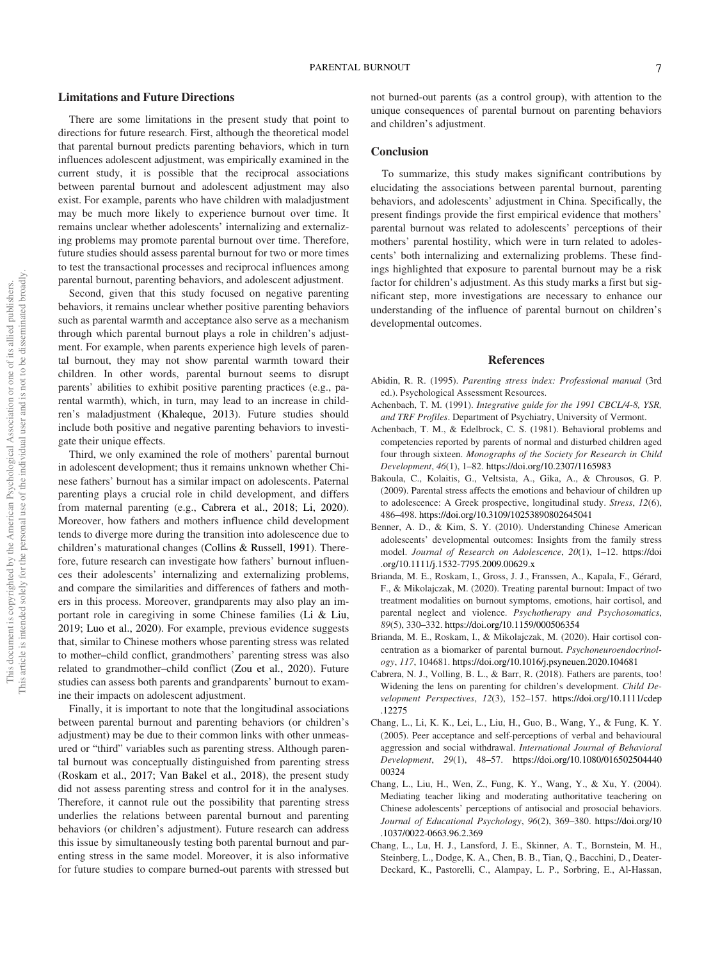## Limitations and Future Directions

There are some limitations in the present study that point to directions for future research. First, although the theoretical model that parental burnout predicts parenting behaviors, which in turn influences adolescent adjustment, was empirically examined in the current study, it is possible that the reciprocal associations between parental burnout and adolescent adjustment may also exist. For example, parents who have children with maladjustment may be much more likely to experience burnout over time. It remains unclear whether adolescents' internalizing and externalizing problems may promote parental burnout over time. Therefore, future studies should assess parental burnout for two or more times to test the transactional processes and reciprocal influences among parental burnout, parenting behaviors, and adolescent adjustment.

Second, given that this study focused on negative parenting behaviors, it remains unclear whether positive parenting behaviors such as parental warmth and acceptance also serve as a mechanism through which parental burnout plays a role in children's adjustment. For example, when parents experience high levels of parental burnout, they may not show parental warmth toward their children. In other words, parental burnout seems to disrupt parents' abilities to exhibit positive parenting practices (e.g., parental warmth), which, in turn, may lead to an increase in children's maladjustment (Khaleque, 2013). Future studies should include both positive and negative parenting behaviors to investigate their unique effects.

Third, we only examined the role of mothers' parental burnout in adolescent development; thus it remains unknown whether Chinese fathers' burnout has a similar impact on adolescents. Paternal parenting plays a crucial role in child development, and differs from maternal parenting (e.g., Cabrera et al., 2018; Li, 2020). Moreover, how fathers and mothers influence child development tends to diverge more during the transition into adolescence due to children's maturational changes (Collins & Russell, 1991). Therefore, future research can investigate how fathers' burnout influences their adolescents' internalizing and externalizing problems, and compare the similarities and differences of fathers and mothers in this process. Moreover, grandparents may also play an important role in caregiving in some Chinese families (Li & Liu, 2019; Luo et al., 2020). For example, previous evidence suggests that, similar to Chinese mothers whose parenting stress was related to mother–child conflict, grandmothers' parenting stress was also related to grandmother–child conflict (Zou et al., 2020). Future studies can assess both parents and grandparents' burnout to examine their impacts on adolescent adjustment.

Finally, it is important to note that the longitudinal associations between parental burnout and parenting behaviors (or children's adjustment) may be due to their common links with other unmeasured or "third" variables such as parenting stress. Although parental burnout was conceptually distinguished from parenting stress (Roskam et al., 2017; Van Bakel et al., 2018), the present study did not assess parenting stress and control for it in the analyses. Therefore, it cannot rule out the possibility that parenting stress underlies the relations between parental burnout and parenting behaviors (or children's adjustment). Future research can address this issue by simultaneously testing both parental burnout and parenting stress in the same model. Moreover, it is also informative for future studies to compare burned-out parents with stressed but not burned-out parents (as a control group), with attention to the unique consequences of parental burnout on parenting behaviors and children's adjustment.

# **Conclusion**

To summarize, this study makes significant contributions by elucidating the associations between parental burnout, parenting behaviors, and adolescents' adjustment in China. Specifically, the present findings provide the first empirical evidence that mothers' parental burnout was related to adolescents' perceptions of their mothers' parental hostility, which were in turn related to adolescents' both internalizing and externalizing problems. These findings highlighted that exposure to parental burnout may be a risk factor for children's adjustment. As this study marks a first but significant step, more investigations are necessary to enhance our understanding of the influence of parental burnout on children's developmental outcomes.

## References

- Abidin, R. R. (1995). Parenting stress index: Professional manual (3rd ed.). Psychological Assessment Resources.
- Achenbach, T. M. (1991). Integrative guide for the 1991 CBCL/4-8, YSR, and TRF Profiles. Department of Psychiatry, University of Vermont.
- Achenbach, T. M., & Edelbrock, C. S. (1981). Behavioral problems and competencies reported by parents of normal and disturbed children aged four through sixteen. Monographs of the Society for Research in Child Development, 46(1), 1–82. <https://doi.org/10.2307/1165983>
- Bakoula, C., Kolaitis, G., Veltsista, A., Gika, A., & Chrousos, G. P. (2009). Parental stress affects the emotions and behaviour of children up to adolescence: A Greek prospective, longitudinal study. Stress, 12(6), 486–498. <https://doi.org/10.3109/10253890802645041>
- Benner, A. D., & Kim, S. Y. (2010). Understanding Chinese American adolescents' developmental outcomes: Insights from the family stress model. Journal of Research on Adolescence, 20(1), 1–12. [https://doi](https://doi.org/10.1111/j.1532-7795.2009.00629.x) [.org/10.1111/j.1532-7795.2009.00629.x](https://doi.org/10.1111/j.1532-7795.2009.00629.x)
- Brianda, M. E., Roskam, I., Gross, J. J., Franssen, A., Kapala, F., Gérard, F., & Mikolajczak, M. (2020). Treating parental burnout: Impact of two treatment modalities on burnout symptoms, emotions, hair cortisol, and parental neglect and violence. Psychotherapy and Psychosomatics, 89(5), 330–332. <https://doi.org/10.1159/000506354>
- Brianda, M. E., Roskam, I., & Mikolajczak, M. (2020). Hair cortisol concentration as a biomarker of parental burnout. Psychoneuroendocrinology, 117, 104681. <https://doi.org/10.1016/j.psyneuen.2020.104681>
- Cabrera, N. J., Volling, B. L., & Barr, R. (2018). Fathers are parents, too! Widening the lens on parenting for children's development. Child Development Perspectives, 12(3), 152–157. [https://doi.org/10.1111/cdep](https://doi.org/10.1111/cdep.12275) [.12275](https://doi.org/10.1111/cdep.12275)
- Chang, L., Li, K. K., Lei, L., Liu, H., Guo, B., Wang, Y., & Fung, K. Y. (2005). Peer acceptance and self-perceptions of verbal and behavioural aggression and social withdrawal. International Journal of Behavioral Development, 29(1), 48–57. [https://doi.org/10.1080/016502504440](https://doi.org/10.1080/01650250444000324) [00324](https://doi.org/10.1080/01650250444000324)
- Chang, L., Liu, H., Wen, Z., Fung, K. Y., Wang, Y., & Xu, Y. (2004). Mediating teacher liking and moderating authoritative teachering on Chinese adolescents' perceptions of antisocial and prosocial behaviors. Journal of Educational Psychology, 96(2), 369–380. [https://doi.org/10](https://doi.org/10.1037/0022-0663.96.2.369) [.1037/0022-0663.96.2.369](https://doi.org/10.1037/0022-0663.96.2.369)
- Chang, L., Lu, H. J., Lansford, J. E., Skinner, A. T., Bornstein, M. H., Steinberg, L., Dodge, K. A., Chen, B. B., Tian, Q., Bacchini, D., Deater-Deckard, K., Pastorelli, C., Alampay, L. P., Sorbring, E., Al-Hassan,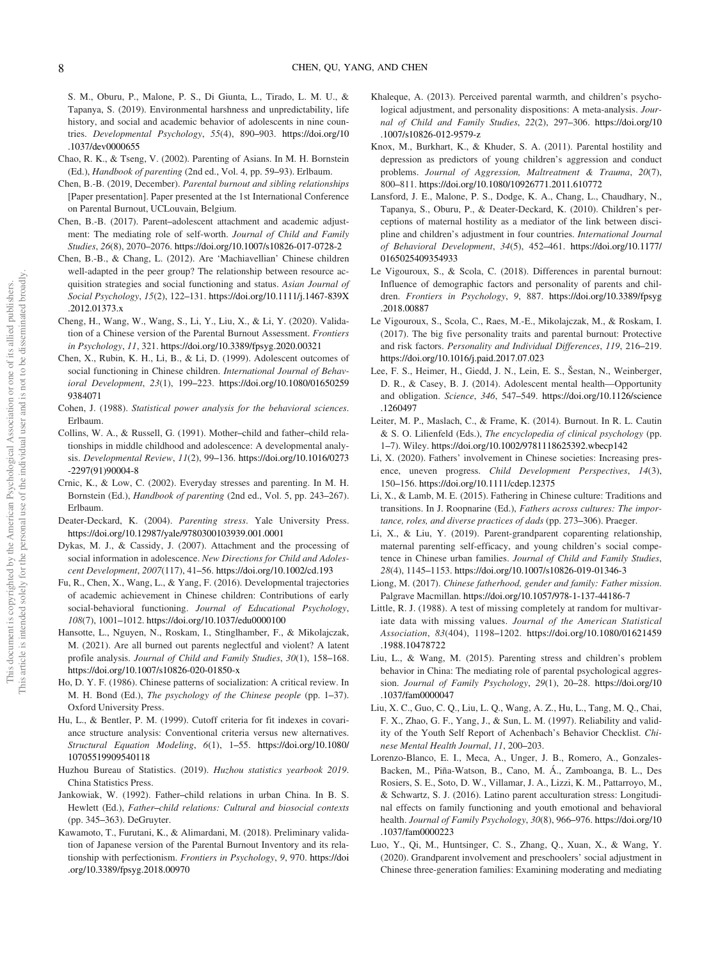S. M., Oburu, P., Malone, P. S., Di Giunta, L., Tirado, L. M. U., & Tapanya, S. (2019). Environmental harshness and unpredictability, life history, and social and academic behavior of adolescents in nine countries. Developmental Psychology, 55(4), 890–903. [https://doi.org/10](https://doi.org/10.1037/dev0000655) [.1037/dev0000655](https://doi.org/10.1037/dev0000655)

- Chao, R. K., & Tseng, V. (2002). Parenting of Asians. In M. H. Bornstein (Ed.), Handbook of parenting (2nd ed., Vol. 4, pp. 59–93). Erlbaum.
- Chen, B.-B. (2019, December). Parental burnout and sibling relationships [Paper presentation]. Paper presented at the 1st International Conference on Parental Burnout, UCLouvain, Belgium.
- Chen, B.-B. (2017). Parent–adolescent attachment and academic adjustment: The mediating role of self-worth. Journal of Child and Family Studies, 26(8), 2070–2076. <https://doi.org/10.1007/s10826-017-0728-2>
- Chen, B.-B., & Chang, L. (2012). Are 'Machiavellian' Chinese children well-adapted in the peer group? The relationship between resource acquisition strategies and social functioning and status. Asian Journal of Social Psychology, 15(2), 122–131. [https://doi.org/10.1111/j.1467-839X](https://doi.org/10.1111/j.1467-839X.2012.01373.x) [.2012.01373.x](https://doi.org/10.1111/j.1467-839X.2012.01373.x)
- Cheng, H., Wang, W., Wang, S., Li, Y., Liu, X., & Li, Y. (2020). Validation of a Chinese version of the Parental Burnout Assessment. Frontiers in Psychology, 11, 321. <https://doi.org/10.3389/fpsyg.2020.00321>
- Chen, X., Rubin, K. H., Li, B., & Li, D. (1999). Adolescent outcomes of social functioning in Chinese children. International Journal of Behavioral Development, 23(1), 199–223. [https://doi.org/10.1080/01650259](https://doi.org/10.1080/016502599384071) [9384071](https://doi.org/10.1080/016502599384071)
- Cohen, J. (1988). Statistical power analysis for the behavioral sciences. Erlbaum.
- Collins, W. A., & Russell, G. (1991). Mother–child and father–child relationships in middle childhood and adolescence: A developmental analysis. Developmental Review, 11(2), 99–136. [https://doi.org/10.1016/0273](https://doi.org/10.1016/0273-2297(91)90004-8) [-2297\(91\)90004-8](https://doi.org/10.1016/0273-2297(91)90004-8)
- Crnic, K., & Low, C. (2002). Everyday stresses and parenting. In M. H. Bornstein (Ed.), Handbook of parenting (2nd ed., Vol. 5, pp. 243–267). Erlbaum.
- Deater-Deckard, K. (2004). Parenting stress. Yale University Press. <https://doi.org/10.12987/yale/9780300103939.001.0001>
- Dykas, M. J., & Cassidy, J. (2007). Attachment and the processing of social information in adolescence. New Directions for Child and Adolescent Development, 2007(117), 41–56. <https://doi.org/10.1002/cd.193>
- Fu, R., Chen, X., Wang, L., & Yang, F. (2016). Developmental trajectories of academic achievement in Chinese children: Contributions of early social-behavioral functioning. Journal of Educational Psychology, 108(7), 1001–1012. <https://doi.org/10.1037/edu0000100>
- Hansotte, L., Nguyen, N., Roskam, I., Stinglhamber, F., & Mikolajczak, M. (2021). Are all burned out parents neglectful and violent? A latent profile analysis. Journal of Child and Family Studies, 30(1), 158-168. <https://doi.org/10.1007/s10826-020-01850-x>
- Ho, D. Y. F. (1986). Chinese patterns of socialization: A critical review. In M. H. Bond (Ed.), The psychology of the Chinese people (pp. 1–37). Oxford University Press.
- Hu, L., & Bentler, P. M. (1999). Cutoff criteria for fit indexes in covariance structure analysis: Conventional criteria versus new alternatives. Structural Equation Modeling, 6(1), 1–55. [https://doi.org/10.1080/](https://doi.org/10.1080/10705519909540118) [10705519909540118](https://doi.org/10.1080/10705519909540118)
- Huzhou Bureau of Statistics. (2019). Huzhou statistics yearbook 2019. China Statistics Press.
- Jankowiak, W. (1992). Father–child relations in urban China. In B. S. Hewlett (Ed.), Father–child relations: Cultural and biosocial contexts (pp. 345–363). DeGruyter.
- Kawamoto, T., Furutani, K., & Alimardani, M. (2018). Preliminary validation of Japanese version of the Parental Burnout Inventory and its relationship with perfectionism. Frontiers in Psychology, 9, 970. [https://doi](https://doi.org/10.3389/fpsyg.2018.00970) [.org/10.3389/fpsyg.2018.00970](https://doi.org/10.3389/fpsyg.2018.00970)
- Khaleque, A. (2013). Perceived parental warmth, and children's psychological adjustment, and personality dispositions: A meta-analysis. Journal of Child and Family Studies, 22(2), 297–306. [https://doi.org/10](https://doi.org/10.1007/s10826-012-9579-z) [.1007/s10826-012-9579-z](https://doi.org/10.1007/s10826-012-9579-z)
- Knox, M., Burkhart, K., & Khuder, S. A. (2011). Parental hostility and depression as predictors of young children's aggression and conduct problems. Journal of Aggression, Maltreatment & Trauma, 20(7), 800–811. <https://doi.org/10.1080/10926771.2011.610772>
- Lansford, J. E., Malone, P. S., Dodge, K. A., Chang, L., Chaudhary, N., Tapanya, S., Oburu, P., & Deater-Deckard, K. (2010). Children's perceptions of maternal hostility as a mediator of the link between discipline and children's adjustment in four countries. International Journal of Behavioral Development, 34(5), 452–461. [https://doi.org/10.1177/](https://doi.org/10.1177/0165025409354933) [0165025409354933](https://doi.org/10.1177/0165025409354933)
- Le Vigouroux, S., & Scola, C. (2018). Differences in parental burnout: Influence of demographic factors and personality of parents and children. Frontiers in Psychology, 9, 887. [https://doi.org/10.3389/fpsyg](https://doi.org/10.3389/fpsyg.2018.00887) [.2018.00887](https://doi.org/10.3389/fpsyg.2018.00887)
- Le Vigouroux, S., Scola, C., Raes, M.-E., Mikolajczak, M., & Roskam, I. (2017). The big five personality traits and parental burnout: Protective and risk factors. Personality and Individual Differences, 119, 216–219. <https://doi.org/10.1016/j.paid.2017.07.023>
- Lee, F. S., Heimer, H., Giedd, J. N., Lein, E. S., Šestan, N., Weinberger, D. R., & Casey, B. J. (2014). Adolescent mental health—Opportunity and obligation. Science, 346, 547–549. [https://doi.org/10.1126/science](https://doi.org/10.1126/science.1260497) [.1260497](https://doi.org/10.1126/science.1260497)
- Leiter, M. P., Maslach, C., & Frame, K. (2014). Burnout. In R. L. Cautin & S. O. Lilienfeld (Eds.), The encyclopedia of clinical psychology (pp. 1–7). Wiley. <https://doi.org/10.1002/9781118625392.wbecp142>
- Li, X. (2020). Fathers' involvement in Chinese societies: Increasing presence, uneven progress. Child Development Perspectives, 14(3), 150–156. <https://doi.org/10.1111/cdep.12375>
- Li, X., & Lamb, M. E. (2015). Fathering in Chinese culture: Traditions and transitions. In J. Roopnarine (Ed.), Fathers across cultures: The importance, roles, and diverse practices of dads (pp. 273–306). Praeger.
- Li, X., & Liu, Y. (2019). Parent-grandparent coparenting relationship, maternal parenting self-efficacy, and young children's social competence in Chinese urban families. Journal of Child and Family Studies, 28(4), 1145–1153. <https://doi.org/10.1007/s10826-019-01346-3>
- Liong, M. (2017). Chinese fatherhood, gender and family: Father mission. Palgrave Macmillan. <https://doi.org/10.1057/978-1-137-44186-7>
- Little, R. J. (1988). A test of missing completely at random for multivariate data with missing values. Journal of the American Statistical Association, 83(404), 1198–1202. [https://doi.org/10.1080/01621459](https://doi.org/10.1080/01621459.1988.10478722) [.1988.10478722](https://doi.org/10.1080/01621459.1988.10478722)
- Liu, L., & Wang, M. (2015). Parenting stress and children's problem behavior in China: The mediating role of parental psychological aggression. Journal of Family Psychology, 29(1), 20–28. [https://doi.org/10](https://doi.org/10.1037/fam0000047) [.1037/fam0000047](https://doi.org/10.1037/fam0000047)
- Liu, X. C., Guo, C. Q., Liu, L. Q., Wang, A. Z., Hu, L., Tang, M. Q., Chai, F. X., Zhao, G. F., Yang, J., & Sun, L. M. (1997). Reliability and validity of the Youth Self Report of Achenbach's Behavior Checklist. Chinese Mental Health Journal, 11, 200–203.
- Lorenzo-Blanco, E. I., Meca, A., Unger, J. B., Romero, A., Gonzales-Backen, M., Piña-Watson, B., Cano, M. Á., Zamboanga, B. L., Des Rosiers, S. E., Soto, D. W., Villamar, J. A., Lizzi, K. M., Pattarroyo, M., & Schwartz, S. J. (2016). Latino parent acculturation stress: Longitudinal effects on family functioning and youth emotional and behavioral health. Journal of Family Psychology, 30(8), 966–976. [https://doi.org/10](https://doi.org/10.1037/fam0000223) [.1037/fam0000223](https://doi.org/10.1037/fam0000223)
- Luo, Y., Qi, M., Huntsinger, C. S., Zhang, Q., Xuan, X., & Wang, Y. (2020). Grandparent involvement and preschoolers' social adjustment in Chinese three-generation families: Examining moderating and mediating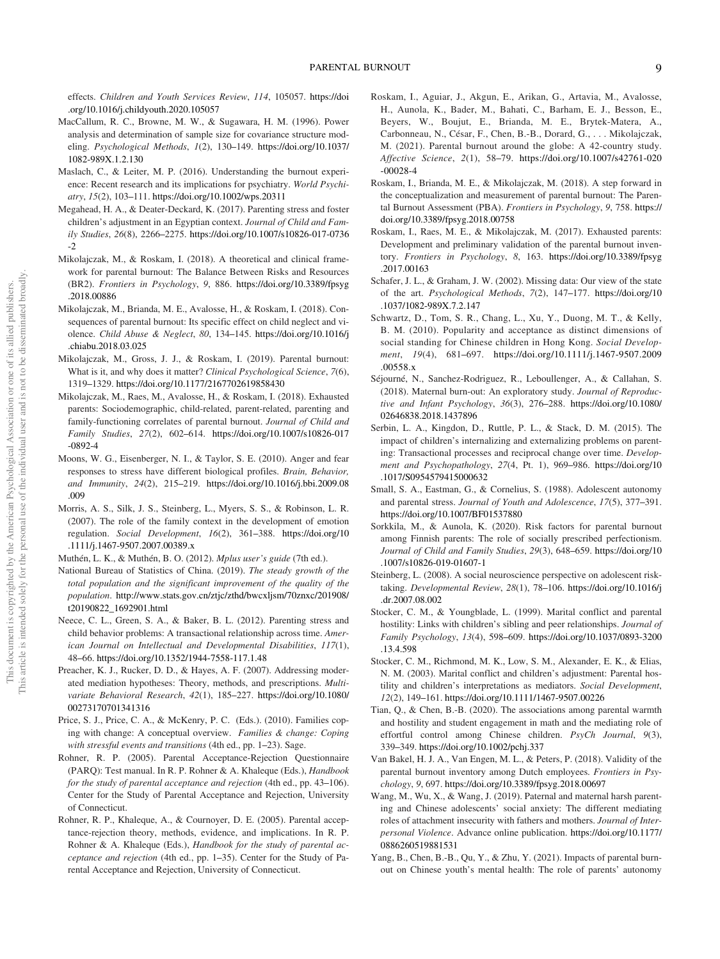effects. Children and Youth Services Review, 114, 105057. [https://doi](https://doi.org/10.1016/j.childyouth.2020.105057) [.org/10.1016/j.childyouth.2020.105057](https://doi.org/10.1016/j.childyouth.2020.105057)

- MacCallum, R. C., Browne, M. W., & Sugawara, H. M. (1996). Power analysis and determination of sample size for covariance structure modeling. Psychological Methods, 1(2), 130–149. [https://doi.org/10.1037/](https://doi.org/10.1037/1082-989X.1.2.130) [1082-989X.1.2.130](https://doi.org/10.1037/1082-989X.1.2.130)
- Maslach, C., & Leiter, M. P. (2016). Understanding the burnout experience: Recent research and its implications for psychiatry. World Psychiatry, 15(2), 103–111. <https://doi.org/10.1002/wps.20311>
- Megahead, H. A., & Deater-Deckard, K. (2017). Parenting stress and foster children's adjustment in an Egyptian context. Journal of Child and Family Studies, 26(8), 2266–2275. [https://doi.org/10.1007/s10826-017-0736](https://doi.org/10.1007/s10826-017-0736-2) [-2](https://doi.org/10.1007/s10826-017-0736-2)
- Mikolajczak, M., & Roskam, I. (2018). A theoretical and clinical framework for parental burnout: The Balance Between Risks and Resources (BR2). Frontiers in Psychology, 9, 886. [https://doi.org/10.3389/fpsyg](https://doi.org/10.3389/fpsyg.2018.00886) [.2018.00886](https://doi.org/10.3389/fpsyg.2018.00886)
- Mikolajczak, M., Brianda, M. E., Avalosse, H., & Roskam, I. (2018). Consequences of parental burnout: Its specific effect on child neglect and violence. Child Abuse & Neglect, 80, 134–145. [https://doi.org/10.1016/j](https://doi.org/10.1016/j.chiabu.2018.03.025) [.chiabu.2018.03.025](https://doi.org/10.1016/j.chiabu.2018.03.025)
- Mikolajczak, M., Gross, J. J., & Roskam, I. (2019). Parental burnout: What is it, and why does it matter? Clinical Psychological Science, 7(6), 1319–1329. <https://doi.org/10.1177/2167702619858430>
- Mikolajczak, M., Raes, M., Avalosse, H., & Roskam, I. (2018). Exhausted parents: Sociodemographic, child-related, parent-related, parenting and family-functioning correlates of parental burnout. Journal of Child and Family Studies, 27(2), 602–614. [https://doi.org/10.1007/s10826-017](https://doi.org/10.1007/s10826-017-0892-4) [-0892-4](https://doi.org/10.1007/s10826-017-0892-4)
- Moons, W. G., Eisenberger, N. I., & Taylor, S. E. (2010). Anger and fear responses to stress have different biological profiles. Brain, Behavior, and Immunity, 24(2), 215–219. [https://doi.org/10.1016/j.bbi.2009.08](https://doi.org/10.1016/j.bbi.2009.08.009) [.009](https://doi.org/10.1016/j.bbi.2009.08.009)
- Morris, A. S., Silk, J. S., Steinberg, L., Myers, S. S., & Robinson, L. R. (2007). The role of the family context in the development of emotion regulation. Social Development, 16(2), 361–388. [https://doi.org/10](https://doi.org/10.1111/j.1467-9507.2007.00389.x) [.1111/j.1467-9507.2007.00389.x](https://doi.org/10.1111/j.1467-9507.2007.00389.x)
- Muthén, L. K., & Muthén, B. O. (2012). Mplus user's guide (7th ed.).
- National Bureau of Statistics of China. (2019). The steady growth of the total population and the significant improvement of the quality of the population. [http://www.stats.gov.cn/ztjc/zthd/bwcxljsm/70znxc/201908/](http://www.stats.gov.cn/ztjc/zthd/bwcxljsm/70znxc/201908/t20190822_1692901.html) [t20190822\\_1692901.html](http://www.stats.gov.cn/ztjc/zthd/bwcxljsm/70znxc/201908/t20190822_1692901.html)
- Neece, C. L., Green, S. A., & Baker, B. L. (2012). Parenting stress and child behavior problems: A transactional relationship across time. American Journal on Intellectual and Developmental Disabilities, 117(1), 48–66. <https://doi.org/10.1352/1944-7558-117.1.48>
- Preacher, K. J., Rucker, D. D., & Hayes, A. F. (2007). Addressing moderated mediation hypotheses: Theory, methods, and prescriptions. Multivariate Behavioral Research, 42(1), 185–227. [https://doi.org/10.1080/](https://doi.org/10.1080/00273170701341316) [00273170701341316](https://doi.org/10.1080/00273170701341316)
- Price, S. J., Price, C. A., & McKenry, P. C. (Eds.). (2010). Families coping with change: A conceptual overview. Families & change: Coping with stressful events and transitions (4th ed., pp. 1–23). Sage.
- Rohner, R. P. (2005). Parental Acceptance-Rejection Questionnaire (PARQ): Test manual. In R. P. Rohner & A. Khaleque (Eds.), Handbook for the study of parental acceptance and rejection (4th ed., pp. 43–106). Center for the Study of Parental Acceptance and Rejection, University of Connecticut.
- Rohner, R. P., Khaleque, A., & Cournoyer, D. E. (2005). Parental acceptance-rejection theory, methods, evidence, and implications. In R. P. Rohner & A. Khaleque (Eds.), Handbook for the study of parental acceptance and rejection (4th ed., pp. 1–35). Center for the Study of Parental Acceptance and Rejection, University of Connecticut.
- Roskam, I., Aguiar, J., Akgun, E., Arikan, G., Artavia, M., Avalosse, H., Aunola, K., Bader, M., Bahati, C., Barham, E. J., Besson, E., Beyers, W., Boujut, E., Brianda, M. E., Brytek-Matera, A., Carbonneau, N., César, F., Chen, B.-B., Dorard, G., . . . Mikolajczak, M. (2021). Parental burnout around the globe: A 42-country study. Affective Science, 2(1), 58–79. [https://doi.org/10.1007/s42761-020](https://doi.org/10.1007/s42761-020-00028-4) [-00028-4](https://doi.org/10.1007/s42761-020-00028-4)
- Roskam, I., Brianda, M. E., & Mikolajczak, M. (2018). A step forward in the conceptualization and measurement of parental burnout: The Parental Burnout Assessment (PBA). Frontiers in Psychology, 9, 758. [https://](https://doi.org/10.3389/fpsyg.2018.00758) [doi.org/10.3389/fpsyg.2018.00758](https://doi.org/10.3389/fpsyg.2018.00758)
- Roskam, I., Raes, M. E., & Mikolajczak, M. (2017). Exhausted parents: Development and preliminary validation of the parental burnout inventory. Frontiers in Psychology, 8, 163. [https://doi.org/10.3389/fpsyg](https://doi.org/10.3389/fpsyg.2017.00163) [.2017.00163](https://doi.org/10.3389/fpsyg.2017.00163)
- Schafer, J. L., & Graham, J. W. (2002). Missing data: Our view of the state of the art. Psychological Methods, 7(2), 147–177. [https://doi.org/10](https://doi.org/10.1037/1082-989X.7.2.147) [.1037/1082-989X.7.2.147](https://doi.org/10.1037/1082-989X.7.2.147)
- Schwartz, D., Tom, S. R., Chang, L., Xu, Y., Duong, M. T., & Kelly, B. M. (2010). Popularity and acceptance as distinct dimensions of social standing for Chinese children in Hong Kong. Social Development, 19(4), 681–697. [https://doi.org/10.1111/j.1467-9507.2009](https://doi.org/10.1111/j.1467-9507.2009.00558.x) [.00558.x](https://doi.org/10.1111/j.1467-9507.2009.00558.x)
- Séjourné, N., Sanchez-Rodriguez, R., Leboullenger, A., & Callahan, S. (2018). Maternal burn-out: An exploratory study. Journal of Reproductive and Infant Psychology, 36(3), 276–288. [https://doi.org/10.1080/](https://doi.org/10.1080/02646838.2018.1437896) [02646838.2018.1437896](https://doi.org/10.1080/02646838.2018.1437896)
- Serbin, L. A., Kingdon, D., Ruttle, P. L., & Stack, D. M. (2015). The impact of children's internalizing and externalizing problems on parenting: Transactional processes and reciprocal change over time. Development and Psychopathology, 27(4, Pt. 1), 969–986. [https://doi.org/10](https://doi.org/10.1017/S0954579415000632) [.1017/S0954579415000632](https://doi.org/10.1017/S0954579415000632)
- Small, S. A., Eastman, G., & Cornelius, S. (1988). Adolescent autonomy and parental stress. Journal of Youth and Adolescence, 17(5), 377–391. <https://doi.org/10.1007/BF01537880>
- Sorkkila, M., & Aunola, K. (2020). Risk factors for parental burnout among Finnish parents: The role of socially prescribed perfectionism. Journal of Child and Family Studies, 29(3), 648–659. [https://doi.org/10](https://doi.org/10.1007/s10826-019-01607-1) [.1007/s10826-019-01607-1](https://doi.org/10.1007/s10826-019-01607-1)
- Steinberg, L. (2008). A social neuroscience perspective on adolescent risktaking. Developmental Review, 28(1), 78–106. [https://doi.org/10.1016/j](https://doi.org/10.1016/j.dr.2007.08.002) [.dr.2007.08.002](https://doi.org/10.1016/j.dr.2007.08.002)
- Stocker, C. M., & Youngblade, L. (1999). Marital conflict and parental hostility: Links with children's sibling and peer relationships. Journal of Family Psychology, 13(4), 598–609. [https://doi.org/10.1037/0893-3200](https://doi.org/10.1037/0893-3200.13.4.598) [.13.4.598](https://doi.org/10.1037/0893-3200.13.4.598)
- Stocker, C. M., Richmond, M. K., Low, S. M., Alexander, E. K., & Elias, N. M. (2003). Marital conflict and children's adjustment: Parental hostility and children's interpretations as mediators. Social Development, 12(2), 149–161. <https://doi.org/10.1111/1467-9507.00226>
- Tian, Q., & Chen, B.-B. (2020). The associations among parental warmth and hostility and student engagement in math and the mediating role of effortful control among Chinese children. PsyCh Journal, 9(3), 339–349. <https://doi.org/10.1002/pchj.337>
- Van Bakel, H. J. A., Van Engen, M. L., & Peters, P. (2018). Validity of the parental burnout inventory among Dutch employees. Frontiers in Psychology, 9, 697. <https://doi.org/10.3389/fpsyg.2018.00697>
- Wang, M., Wu, X., & Wang, J. (2019). Paternal and maternal harsh parenting and Chinese adolescents' social anxiety: The different mediating roles of attachment insecurity with fathers and mothers. Journal of Interpersonal Violence. Advance online publication. [https://doi.org/10.1177/](https://doi.org/10.1177/0886260519881531) [0886260519881531](https://doi.org/10.1177/0886260519881531)
- Yang, B., Chen, B.-B., Qu, Y., & Zhu, Y. (2021). Impacts of parental burnout on Chinese youth's mental health: The role of parents' autonomy